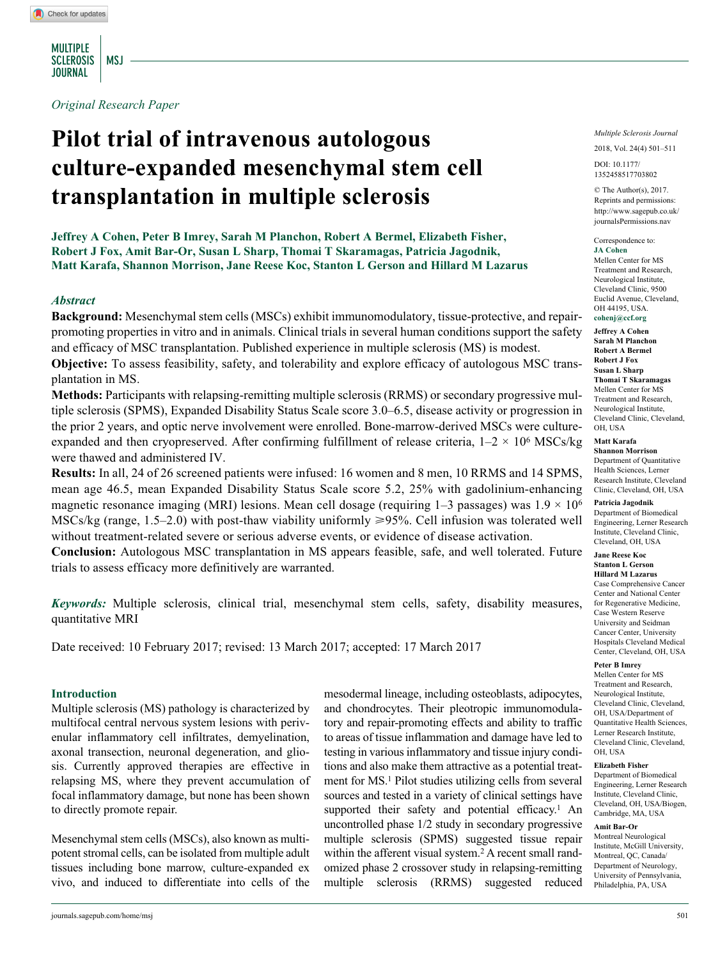MULTIPLE SCLEROSIS | MSJ **JOURNAL** 

*Original Research Paper*

# **Pilot trial of intravenous autologous culture-expanded mesenchymal stem cell transplantation in multiple sclerosis**

**Jeffrey A Cohen, Peter B Imrey, Sarah M Planchon, Robert A Bermel, Elizabeth Fisher, Robert J Fox, Amit Bar-Or, Susan L Sharp, Thomai T Skaramagas, Patricia Jagodnik, Matt Karafa, Shannon Morrison, Jane Reese Koc, Stanton L Gerson and Hillard M Lazarus**

### *Abstract*

**Background:** Mesenchymal stem cells (MSCs) exhibit immunomodulatory, tissue-protective, and repairpromoting properties in vitro and in animals. Clinical trials in several human conditions support the safety and efficacy of MSC transplantation. Published experience in multiple sclerosis (MS) is modest. **Objective:** To assess feasibility, safety, and tolerability and explore efficacy of autologous MSC transplantation in MS.

**Methods:** Participants with relapsing-remitting multiple sclerosis (RRMS) or secondary progressive multiple sclerosis (SPMS), Expanded Disability Status Scale score 3.0–6.5, disease activity or progression in the prior 2 years, and optic nerve involvement were enrolled. Bone-marrow-derived MSCs were cultureexpanded and then cryopreserved. After confirming fulfillment of release criteria,  $1-2 \times 10^6$  MSCs/kg were thawed and administered IV.

**Results:** In all, 24 of 26 screened patients were infused: 16 women and 8 men, 10 RRMS and 14 SPMS, mean age 46.5, mean Expanded Disability Status Scale score 5.2, 25% with gadolinium-enhancing magnetic resonance imaging (MRI) lesions. Mean cell dosage (requiring  $1-3$  passages) was  $1.9 \times 10^6$ MSCs/kg (range, 1.5–2.0) with post-thaw viability uniformly  $\geq$ 95%. Cell infusion was tolerated well without treatment-related severe or serious adverse events, or evidence of disease activation.

**Conclusion:** Autologous MSC transplantation in MS appears feasible, safe, and well tolerated. Future trials to assess efficacy more definitively are warranted.

*Keywords:* Multiple sclerosis, clinical trial, mesenchymal stem cells, safety, disability measures, quantitative MRI

Date received: 10 February 2017; revised: 13 March 2017; accepted: 17 March 2017

#### **Introduction**

Multiple sclerosis (MS) pathology is characterized by multifocal central nervous system lesions with perivenular inflammatory cell infiltrates, demyelination, axonal transection, neuronal degeneration, and gliosis. Currently approved therapies are effective in relapsing MS, where they prevent accumulation of focal inflammatory damage, but none has been shown to directly promote repair.

Mesenchymal stem cells (MSCs), also known as multipotent stromal cells, can be isolated from multiple adult tissues including bone marrow, culture-expanded ex vivo, and induced to differentiate into cells of the mesodermal lineage, including osteoblasts, adipocytes, and chondrocytes. Their pleotropic immunomodulatory and repair-promoting effects and ability to traffic to areas of tissue inflammation and damage have led to testing in various inflammatory and tissue injury conditions and also make them attractive as a potential treatment for MS.1 Pilot studies utilizing cells from several sources and tested in a variety of clinical settings have supported their safety and potential efficacy.<sup>1</sup> An uncontrolled phase 1/2 study in secondary progressive multiple sclerosis (SPMS) suggested tissue repair within the afferent visual system.<sup>2</sup> A recent small randomized phase 2 crossover study in relapsing-remitting multiple sclerosis (RRMS) suggested reduced *Multiple Sclerosis Journal*

2018, Vol. 24(4) 501–511

DOI: 10.1177/ https://doi.org/10.1177/1352458517703802 1352458517703802

© The Author(s), 2017. Reprints and permissions: [http://www.sagepub.co.uk/](https://uk.sagepub.com/en-gb/journals-permissions) [journalsPermissions.nav](https://uk.sagepub.com/en-gb/journals-permissions)

Correspondence to: **JA Cohen** Mellen Center for MS Treatment and Research, Neurological Institute, Cleveland Clinic, 9500 Euclid Avenue, Cleveland, OH 44195, USA. **[cohenj@ccf.org](mailto:cohenj@ccf.org)**

**Jeffrey A Cohen Sarah M Planchon Robert A Bermel Robert J Fox Susan L Sharp Thomai T Skaramagas**  Mellen Center for MS Treatment and Research, Neurological Institute, Cleveland Clinic, Cleveland, OH, USA

### **Matt Karafa**

**Shannon Morrison**  Department of Quantitative Health Sciences, Lerner Research Institute, Cleveland Clinic, Cleveland, OH, USA

**Patricia Jagodnik** 

Department of Biomedical Engineering, Lerner Research Institute, Cleveland Clinic, Cleveland, OH, USA

#### **Jane Reese Koc Stanton L Gerson**

**Hillard M Lazarus**  Case Comprehensive Cancer Center and National Center for Regenerative Medicine, Case Western Reserve University and Seidman Cancer Center, University Hospitals Cleveland Medical Center, Cleveland, OH, USA

**Peter B Imrey** 

Mellen Center for MS Treatment and Research, Neurological Institute, Cleveland Clinic, Cleveland, OH, USA/Department of Quantitative Health Sciences, Lerner Research Institute, Cleveland Clinic, Cleveland, OH, USA

#### **Elizabeth Fisher**

Department of Biomedical Engineering, Lerner Research Institute, Cleveland Clinic, Cleveland, OH, USA/Biogen, Cambridge, MA, USA

#### **Amit Bar-Or**

Montreal Neurological Institute, McGill University, Montreal, QC, Canada/ Department of Neurology, University of Pennsylvania, Philadelphia, PA, USA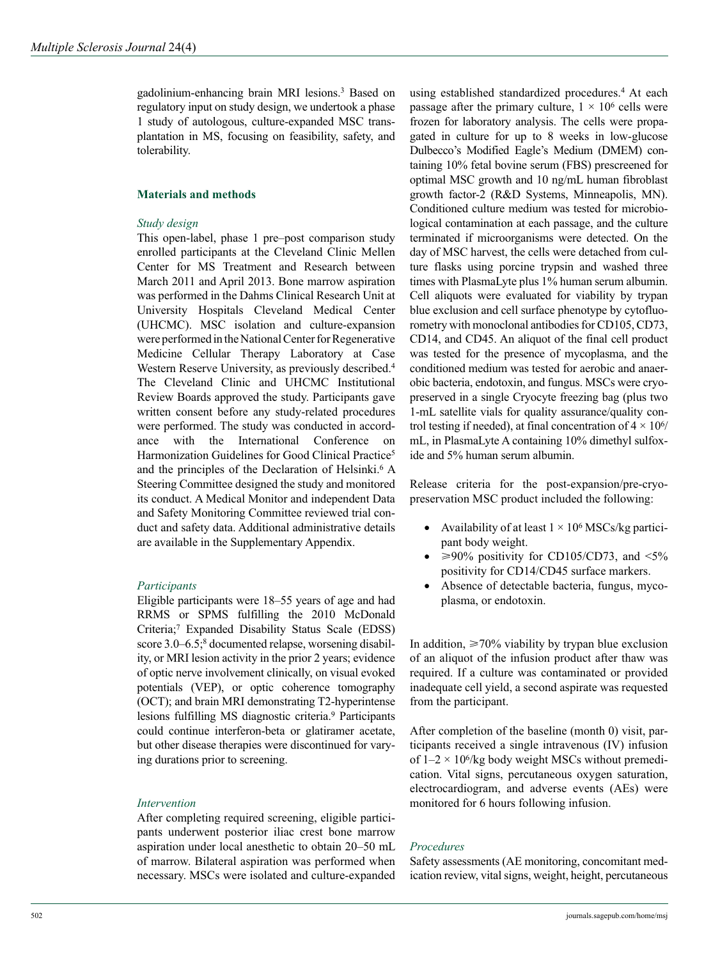gadolinium-enhancing brain MRI lesions.3 Based on regulatory input on study design, we undertook a phase 1 study of autologous, culture-expanded MSC transplantation in MS, focusing on feasibility, safety, and tolerability.

# **Materials and methods**

## *Study design*

This open-label, phase 1 pre–post comparison study enrolled participants at the Cleveland Clinic Mellen Center for MS Treatment and Research between March 2011 and April 2013. Bone marrow aspiration was performed in the Dahms Clinical Research Unit at University Hospitals Cleveland Medical Center (UHCMC). MSC isolation and culture-expansion were performed in the National Center for Regenerative Medicine Cellular Therapy Laboratory at Case Western Reserve University, as previously described.<sup>4</sup> The Cleveland Clinic and UHCMC Institutional Review Boards approved the study. Participants gave written consent before any study-related procedures were performed. The study was conducted in accordance with the International Conference on Harmonization Guidelines for Good Clinical Practice<sup>5</sup> and the principles of the Declaration of Helsinki.<sup>6</sup> A Steering Committee designed the study and monitored its conduct. A Medical Monitor and independent Data and Safety Monitoring Committee reviewed trial conduct and safety data. Additional administrative details are available in the Supplementary Appendix.

# *Participants*

Eligible participants were 18–55 years of age and had RRMS or SPMS fulfilling the 2010 McDonald Criteria;7 Expanded Disability Status Scale (EDSS) score 3.0–6.5;<sup>8</sup> documented relapse, worsening disability, or MRI lesion activity in the prior 2 years; evidence of optic nerve involvement clinically, on visual evoked potentials (VEP), or optic coherence tomography (OCT); and brain MRI demonstrating T2-hyperintense lesions fulfilling MS diagnostic criteria.9 Participants could continue interferon-beta or glatiramer acetate, but other disease therapies were discontinued for varying durations prior to screening.

### *Intervention*

After completing required screening, eligible participants underwent posterior iliac crest bone marrow aspiration under local anesthetic to obtain 20–50 mL of marrow. Bilateral aspiration was performed when necessary. MSCs were isolated and culture-expanded

using established standardized procedures.4 At each passage after the primary culture,  $1 \times 10^6$  cells were frozen for laboratory analysis. The cells were propagated in culture for up to 8 weeks in low-glucose Dulbecco's Modified Eagle's Medium (DMEM) containing 10% fetal bovine serum (FBS) prescreened for optimal MSC growth and 10 ng/mL human fibroblast growth factor-2 (R&D Systems, Minneapolis, MN). Conditioned culture medium was tested for microbiological contamination at each passage, and the culture terminated if microorganisms were detected. On the day of MSC harvest, the cells were detached from culture flasks using porcine trypsin and washed three times with PlasmaLyte plus 1% human serum albumin. Cell aliquots were evaluated for viability by trypan blue exclusion and cell surface phenotype by cytofluorometry with monoclonal antibodies for CD105, CD73, CD14, and CD45. An aliquot of the final cell product was tested for the presence of mycoplasma, and the conditioned medium was tested for aerobic and anaerobic bacteria, endotoxin, and fungus. MSCs were cryopreserved in a single Cryocyte freezing bag (plus two 1-mL satellite vials for quality assurance/quality control testing if needed), at final concentration of  $4 \times 10^{6}$ mL, in PlasmaLyte A containing 10% dimethyl sulfoxide and 5% human serum albumin.

Release criteria for the post-expansion/pre-cryopreservation MSC product included the following:

- Availability of at least  $1 \times 10^6$  MSCs/kg participant body weight.
- $\geq$ 90% positivity for CD105/CD73, and <5% positivity for CD14/CD45 surface markers.
- Absence of detectable bacteria, fungus, mycoplasma, or endotoxin.

In addition,  $\geq 70\%$  viability by trypan blue exclusion of an aliquot of the infusion product after thaw was required. If a culture was contaminated or provided inadequate cell yield, a second aspirate was requested from the participant.

After completion of the baseline (month 0) visit, participants received a single intravenous (IV) infusion of  $1-2 \times 10^6$ /kg body weight MSCs without premedication. Vital signs, percutaneous oxygen saturation, electrocardiogram, and adverse events (AEs) were monitored for 6 hours following infusion.

### *Procedures*

Safety assessments (AE monitoring, concomitant medication review, vital signs, weight, height, percutaneous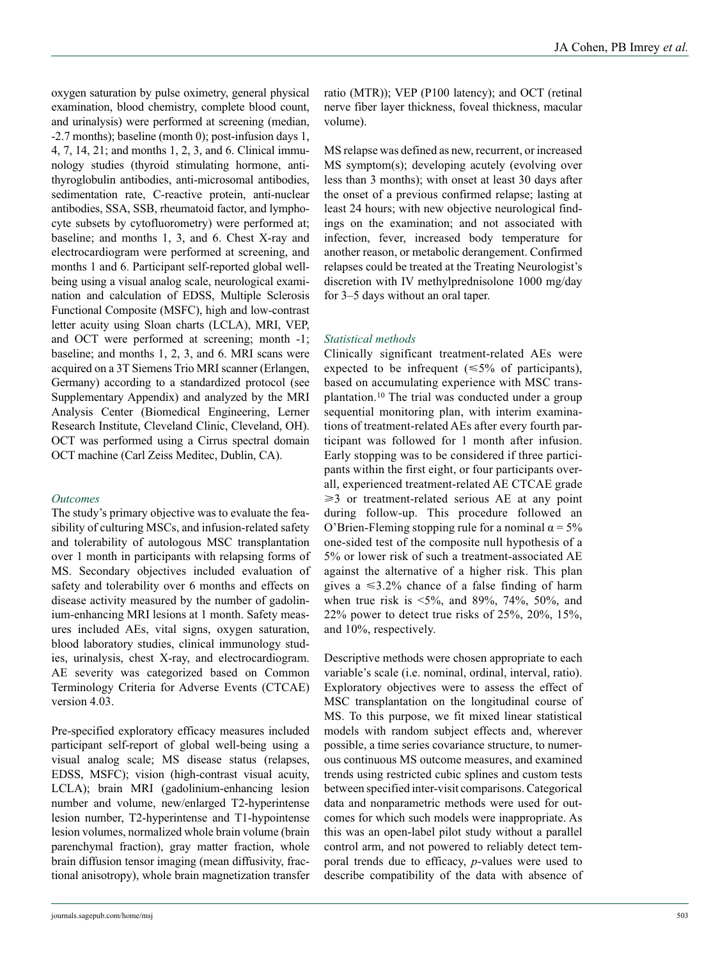oxygen saturation by pulse oximetry, general physical examination, blood chemistry, complete blood count, and urinalysis) were performed at screening (median, -2.7 months); baseline (month 0); post-infusion days 1, 4, 7, 14, 21; and months 1, 2, 3, and 6. Clinical immunology studies (thyroid stimulating hormone, antithyroglobulin antibodies, anti-microsomal antibodies, sedimentation rate, C-reactive protein, anti-nuclear antibodies, SSA, SSB, rheumatoid factor, and lymphocyte subsets by cytofluorometry) were performed at; baseline; and months 1, 3, and 6. Chest X-ray and electrocardiogram were performed at screening, and months 1 and 6. Participant self-reported global wellbeing using a visual analog scale, neurological examination and calculation of EDSS, Multiple Sclerosis Functional Composite (MSFC), high and low-contrast letter acuity using Sloan charts (LCLA), MRI, VEP, and OCT were performed at screening; month -1; baseline; and months 1, 2, 3, and 6. MRI scans were acquired on a 3T Siemens Trio MRI scanner (Erlangen, Germany) according to a standardized protocol (see Supplementary Appendix) and analyzed by the MRI Analysis Center (Biomedical Engineering, Lerner Research Institute, Cleveland Clinic, Cleveland, OH). OCT was performed using a Cirrus spectral domain OCT machine (Carl Zeiss Meditec, Dublin, CA).

### *Outcomes*

The study's primary objective was to evaluate the feasibility of culturing MSCs, and infusion-related safety and tolerability of autologous MSC transplantation over 1 month in participants with relapsing forms of MS. Secondary objectives included evaluation of safety and tolerability over 6 months and effects on disease activity measured by the number of gadolinium-enhancing MRI lesions at 1 month. Safety measures included AEs, vital signs, oxygen saturation, blood laboratory studies, clinical immunology studies, urinalysis, chest X-ray, and electrocardiogram. AE severity was categorized based on Common Terminology Criteria for Adverse Events (CTCAE) version 4.03.

Pre-specified exploratory efficacy measures included participant self-report of global well-being using a visual analog scale; MS disease status (relapses, EDSS, MSFC); vision (high-contrast visual acuity, LCLA); brain MRI (gadolinium-enhancing lesion number and volume, new/enlarged T2-hyperintense lesion number, T2-hyperintense and T1-hypointense lesion volumes, normalized whole brain volume (brain parenchymal fraction), gray matter fraction, whole brain diffusion tensor imaging (mean diffusivity, fractional anisotropy), whole brain magnetization transfer ratio (MTR)); VEP (P100 latency); and OCT (retinal nerve fiber layer thickness, foveal thickness, macular volume).

MS relapse was defined as new, recurrent, or increased MS symptom(s); developing acutely (evolving over less than 3 months); with onset at least 30 days after the onset of a previous confirmed relapse; lasting at least 24 hours; with new objective neurological findings on the examination; and not associated with infection, fever, increased body temperature for another reason, or metabolic derangement. Confirmed relapses could be treated at the Treating Neurologist's discretion with IV methylprednisolone 1000 mg/day for 3–5 days without an oral taper.

# *Statistical methods*

Clinically significant treatment-related AEs were expected to be infrequent  $(\leq 5\%$  of participants), based on accumulating experience with MSC transplantation.10 The trial was conducted under a group sequential monitoring plan, with interim examinations of treatment-related AEs after every fourth participant was followed for 1 month after infusion. Early stopping was to be considered if three participants within the first eight, or four participants overall, experienced treatment-related AE CTCAE grade  $\geq$ 3 or treatment-related serious AE at any point during follow-up. This procedure followed an O'Brien-Fleming stopping rule for a nominal  $\alpha = 5\%$ one-sided test of the composite null hypothesis of a 5% or lower risk of such a treatment-associated AE against the alternative of a higher risk. This plan gives a  $\leq 3.2\%$  chance of a false finding of harm when true risk is  $\leq 5\%$ , and 89%, 74%, 50%, and 22% power to detect true risks of 25%, 20%, 15%, and 10%, respectively.

Descriptive methods were chosen appropriate to each variable's scale (i.e. nominal, ordinal, interval, ratio). Exploratory objectives were to assess the effect of MSC transplantation on the longitudinal course of MS. To this purpose, we fit mixed linear statistical models with random subject effects and, wherever possible, a time series covariance structure, to numerous continuous MS outcome measures, and examined trends using restricted cubic splines and custom tests between specified inter-visit comparisons. Categorical data and nonparametric methods were used for outcomes for which such models were inappropriate. As this was an open-label pilot study without a parallel control arm, and not powered to reliably detect temporal trends due to efficacy, *p*-values were used to describe compatibility of the data with absence of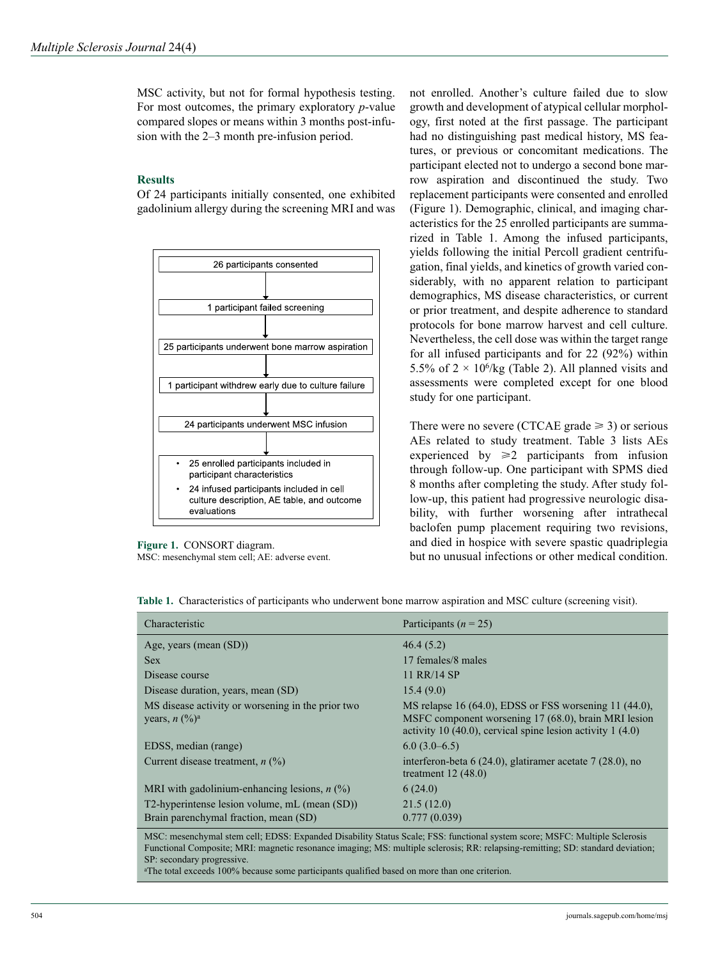MSC activity, but not for formal hypothesis testing. For most outcomes, the primary exploratory *p*-value compared slopes or means within 3 months post-infusion with the 2–3 month pre-infusion period.

# **Results**

Of 24 participants initially consented, one exhibited gadolinium allergy during the screening MRI and was



**Figure 1.** CONSORT diagram. MSC: mesenchymal stem cell; AE: adverse event.

not enrolled. Another's culture failed due to slow growth and development of atypical cellular morphology, first noted at the first passage. The participant had no distinguishing past medical history, MS features, or previous or concomitant medications. The participant elected not to undergo a second bone marrow aspiration and discontinued the study. Two replacement participants were consented and enrolled (Figure 1). Demographic, clinical, and imaging characteristics for the 25 enrolled participants are summarized in Table 1. Among the infused participants, yields following the initial Percoll gradient centrifugation, final yields, and kinetics of growth varied considerably, with no apparent relation to participant demographics, MS disease characteristics, or current or prior treatment, and despite adherence to standard protocols for bone marrow harvest and cell culture. Nevertheless, the cell dose was within the target range for all infused participants and for 22 (92%) within 5.5% of  $2 \times 10^6$ /kg (Table 2). All planned visits and assessments were completed except for one blood study for one participant.

There were no severe (CTCAE grade  $\geq$  3) or serious AEs related to study treatment. Table 3 lists AEs experienced by  $\geq 2$  participants from infusion through follow-up. One participant with SPMS died 8 months after completing the study. After study follow-up, this patient had progressive neurologic disability, with further worsening after intrathecal baclofen pump placement requiring two revisions, and died in hospice with severe spastic quadriplegia but no unusual infections or other medical condition.

| Characteristic                                                                                                                                                                                                                                                                                                                                                                                                                                                                             | Participants ( $n = 25$ )                                                                                                                                                    |
|--------------------------------------------------------------------------------------------------------------------------------------------------------------------------------------------------------------------------------------------------------------------------------------------------------------------------------------------------------------------------------------------------------------------------------------------------------------------------------------------|------------------------------------------------------------------------------------------------------------------------------------------------------------------------------|
| Age, years (mean $(SD)$ )                                                                                                                                                                                                                                                                                                                                                                                                                                                                  | 46.4(5.2)                                                                                                                                                                    |
| <b>Sex</b>                                                                                                                                                                                                                                                                                                                                                                                                                                                                                 | 17 females/8 males                                                                                                                                                           |
| Disease course                                                                                                                                                                                                                                                                                                                                                                                                                                                                             | 11 RR/14 SP                                                                                                                                                                  |
| Disease duration, years, mean (SD)                                                                                                                                                                                                                                                                                                                                                                                                                                                         | 15.4(9.0)                                                                                                                                                                    |
| MS disease activity or worsening in the prior two<br>years, $n \frac{(\%)^a}{a}$                                                                                                                                                                                                                                                                                                                                                                                                           | MS relapse 16 (64.0), EDSS or FSS worsening 11 (44.0),<br>MSFC component worsening 17 (68.0), brain MRI lesion<br>activity 10 (40.0), cervical spine lesion activity 1 (4.0) |
| EDSS, median (range)                                                                                                                                                                                                                                                                                                                                                                                                                                                                       | $6.0(3.0-6.5)$                                                                                                                                                               |
| Current disease treatment, $n$ (%)                                                                                                                                                                                                                                                                                                                                                                                                                                                         | interferon-beta $6(24.0)$ , glatiramer acetate $7(28.0)$ , no<br>treatment $12(48.0)$                                                                                        |
| MRI with gadolinium-enhancing lesions, $n$ (%)                                                                                                                                                                                                                                                                                                                                                                                                                                             | 6(24.0)                                                                                                                                                                      |
| T2-hyperintense lesion volume, mL (mean (SD))                                                                                                                                                                                                                                                                                                                                                                                                                                              | 21.5(12.0)                                                                                                                                                                   |
| Brain parenchymal fraction, mean (SD)                                                                                                                                                                                                                                                                                                                                                                                                                                                      | 0.777(0.039)                                                                                                                                                                 |
| $\blacksquare$ $\blacksquare$ $\blacksquare$ $\blacksquare$ $\blacksquare$ $\blacksquare$ $\blacksquare$ $\blacksquare$ $\blacksquare$ $\blacksquare$ $\blacksquare$ $\blacksquare$ $\blacksquare$ $\blacksquare$ $\blacksquare$ $\blacksquare$ $\blacksquare$ $\blacksquare$ $\blacksquare$ $\blacksquare$ $\blacksquare$ $\blacksquare$ $\blacksquare$ $\blacksquare$ $\blacksquare$ $\blacksquare$ $\blacksquare$ $\blacksquare$ $\blacksquare$ $\blacksquare$ $\blacksquare$ $\blacks$ | $\frac{1}{2}$                                                                                                                                                                |

**Table 1.** Characteristics of participants who underwent bone marrow aspiration and MSC culture (screening visit).

MSC: mesenchymal stem cell; EDSS: Expanded Disability Status Scale; FSS: functional system score; MSFC: Multiple Sclerosis Functional Composite; MRI: magnetic resonance imaging; MS: multiple sclerosis; RR: relapsing-remitting; SD: standard deviation; SP: secondary progressive.

<sup>a</sup>The total exceeds 100% because some participants qualified based on more than one criterion.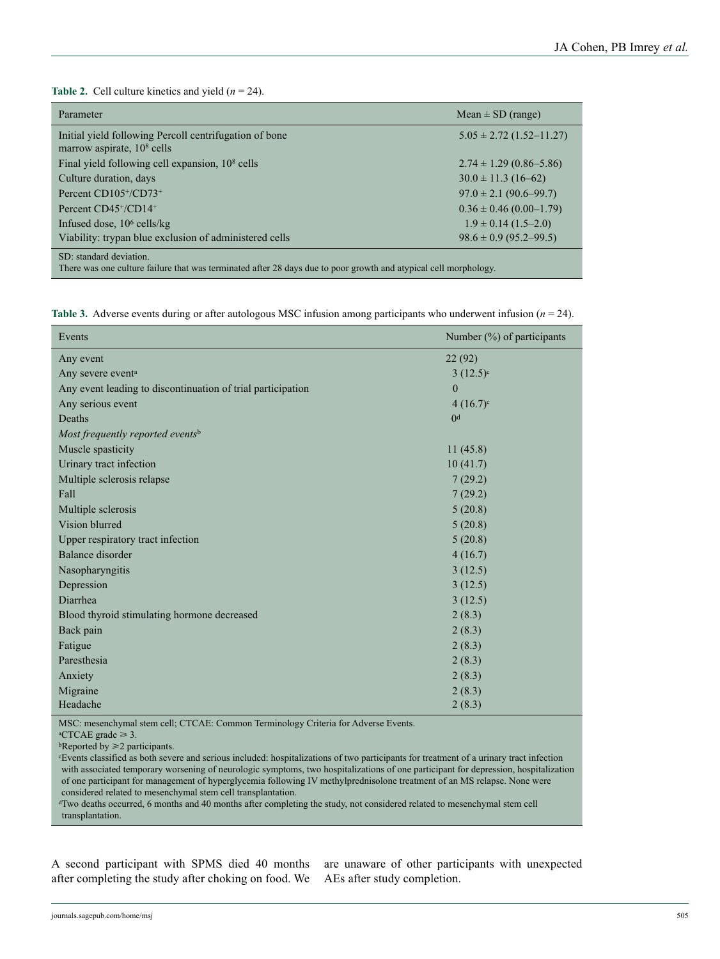**Table 2.** Cell culture kinetics and yield (*n* = 24).

| Parameter                                                                                                                                   | Mean $\pm$ SD (range)        |
|---------------------------------------------------------------------------------------------------------------------------------------------|------------------------------|
| Initial yield following Percoll centrifugation of bone<br>marrow aspirate, 10 <sup>8</sup> cells                                            | $5.05 \pm 2.72$ (1.52–11.27) |
| Final yield following cell expansion, $108$ cells                                                                                           | $2.74 \pm 1.29$ (0.86–5.86)  |
| Culture duration, days                                                                                                                      | $30.0 \pm 11.3$ (16-62)      |
| Percent $CD105^+/CD73^+$                                                                                                                    | $97.0 \pm 2.1 (90.6 - 99.7)$ |
| Percent CD45 <sup>+</sup> /CD14 <sup>+</sup>                                                                                                | $0.36 \pm 0.46$ (0.00–1.79)  |
| Infused dose, $106$ cells/kg                                                                                                                | $1.9 \pm 0.14$ (1.5–2.0)     |
| Viability: trypan blue exclusion of administered cells                                                                                      | $98.6 \pm 0.9$ (95.2–99.5)   |
| SD: standard deviation.<br>There was one culture failure that was terminated after 28 days due to poor growth and atypical cell morphology. |                              |

**Table 3.** Adverse events during or after autologous MSC infusion among participants who underwent infusion ( $n = 24$ ).

| Events                                                      | Number (%) of participants |
|-------------------------------------------------------------|----------------------------|
| Any event                                                   | 22(92)                     |
| Any severe event <sup>a</sup>                               | $3(12.5)^{\circ}$          |
| Any event leading to discontinuation of trial participation | $\mathbf{0}$               |
| Any serious event                                           | $4(16.7)^c$                |
| Deaths                                                      | 0 <sup>d</sup>             |
| Most frequently reported eventsb                            |                            |
| Muscle spasticity                                           | 11(45.8)                   |
| Urinary tract infection                                     | 10(41.7)                   |
| Multiple sclerosis relapse                                  | 7(29.2)                    |
| Fall                                                        | 7(29.2)                    |
| Multiple sclerosis                                          | 5(20.8)                    |
| Vision blurred                                              | 5(20.8)                    |
| Upper respiratory tract infection                           | 5(20.8)                    |
| Balance disorder                                            | 4(16.7)                    |
| Nasopharyngitis                                             | 3(12.5)                    |
| Depression                                                  | 3(12.5)                    |
| Diarrhea                                                    | 3(12.5)                    |
| Blood thyroid stimulating hormone decreased                 | 2(8.3)                     |
| Back pain                                                   | 2(8.3)                     |
| Fatigue                                                     | 2(8.3)                     |
| Paresthesia                                                 | 2(8.3)                     |
| Anxiety                                                     | 2(8.3)                     |
| Migraine                                                    | 2(8.3)                     |
| Headache                                                    | 2(8.3)                     |

MSC: mesenchymal stem cell; CTCAE: Common Terminology Criteria for Adverse Events.

 ${}^{\text{a}}$ CTCAE grade  $\geq 3$ .

 $b$ Reported by  $\geq 2$  participants.

cEvents classified as both severe and serious included: hospitalizations of two participants for treatment of a urinary tract infection with associated temporary worsening of neurologic symptoms, two hospitalizations of one participant for depression, hospitalization of one participant for management of hyperglycemia following IV methylprednisolone treatment of an MS relapse. None were considered related to mesenchymal stem cell transplantation.

dTwo deaths occurred, 6 months and 40 months after completing the study, not considered related to mesenchymal stem cell transplantation.

A second participant with SPMS died 40 months after completing the study after choking on food. We

are unaware of other participants with unexpected AEs after study completion.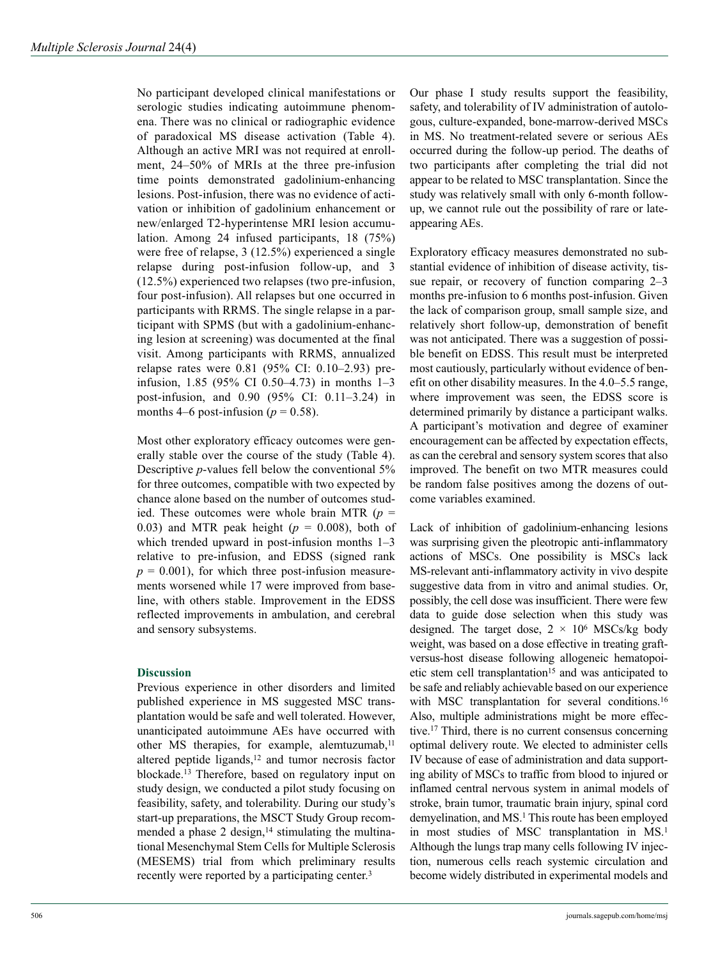No participant developed clinical manifestations or serologic studies indicating autoimmune phenomena. There was no clinical or radiographic evidence of paradoxical MS disease activation (Table 4). Although an active MRI was not required at enrollment, 24–50% of MRIs at the three pre-infusion time points demonstrated gadolinium-enhancing lesions. Post-infusion, there was no evidence of activation or inhibition of gadolinium enhancement or new/enlarged T2-hyperintense MRI lesion accumulation. Among 24 infused participants, 18 (75%) were free of relapse, 3 (12.5%) experienced a single relapse during post-infusion follow-up, and 3 (12.5%) experienced two relapses (two pre-infusion, four post-infusion). All relapses but one occurred in participants with RRMS. The single relapse in a participant with SPMS (but with a gadolinium-enhancing lesion at screening) was documented at the final visit. Among participants with RRMS, annualized relapse rates were 0.81 (95% CI: 0.10–2.93) preinfusion, 1.85 (95% CI 0.50–4.73) in months 1–3 post-infusion, and 0.90 (95% CI: 0.11–3.24) in months 4–6 post-infusion ( $p = 0.58$ ).

Most other exploratory efficacy outcomes were generally stable over the course of the study (Table 4). Descriptive *p*-values fell below the conventional 5% for three outcomes, compatible with two expected by chance alone based on the number of outcomes studied. These outcomes were whole brain MTR (*p* = 0.03) and MTR peak height  $(p = 0.008)$ , both of which trended upward in post-infusion months 1–3 relative to pre-infusion, and EDSS (signed rank  $p = 0.001$ , for which three post-infusion measurements worsened while 17 were improved from baseline, with others stable. Improvement in the EDSS reflected improvements in ambulation, and cerebral and sensory subsystems.

## **Discussion**

Previous experience in other disorders and limited published experience in MS suggested MSC transplantation would be safe and well tolerated. However, unanticipated autoimmune AEs have occurred with other MS therapies, for example, alemtuzumab, $11$ altered peptide ligands, $12$  and tumor necrosis factor blockade.13 Therefore, based on regulatory input on study design, we conducted a pilot study focusing on feasibility, safety, and tolerability. During our study's start-up preparations, the MSCT Study Group recommended a phase 2 design, $14$  stimulating the multinational Mesenchymal Stem Cells for Multiple Sclerosis (MESEMS) trial from which preliminary results recently were reported by a participating center.<sup>3</sup>

Our phase I study results support the feasibility, safety, and tolerability of IV administration of autologous, culture-expanded, bone-marrow-derived MSCs in MS. No treatment-related severe or serious AEs occurred during the follow-up period. The deaths of two participants after completing the trial did not appear to be related to MSC transplantation. Since the study was relatively small with only 6-month followup, we cannot rule out the possibility of rare or lateappearing AEs.

Exploratory efficacy measures demonstrated no substantial evidence of inhibition of disease activity, tissue repair, or recovery of function comparing 2–3 months pre-infusion to 6 months post-infusion. Given the lack of comparison group, small sample size, and relatively short follow-up, demonstration of benefit was not anticipated. There was a suggestion of possible benefit on EDSS. This result must be interpreted most cautiously, particularly without evidence of benefit on other disability measures. In the 4.0–5.5 range, where improvement was seen, the EDSS score is determined primarily by distance a participant walks. A participant's motivation and degree of examiner encouragement can be affected by expectation effects, as can the cerebral and sensory system scores that also improved. The benefit on two MTR measures could be random false positives among the dozens of outcome variables examined.

Lack of inhibition of gadolinium-enhancing lesions was surprising given the pleotropic anti-inflammatory actions of MSCs. One possibility is MSCs lack MS-relevant anti-inflammatory activity in vivo despite suggestive data from in vitro and animal studies. Or, possibly, the cell dose was insufficient. There were few data to guide dose selection when this study was designed. The target dose,  $2 \times 10^6$  MSCs/kg body weight, was based on a dose effective in treating graftversus-host disease following allogeneic hematopoietic stem cell transplantation<sup>15</sup> and was anticipated to be safe and reliably achievable based on our experience with MSC transplantation for several conditions.<sup>16</sup> Also, multiple administrations might be more effective.17 Third, there is no current consensus concerning optimal delivery route. We elected to administer cells IV because of ease of administration and data supporting ability of MSCs to traffic from blood to injured or inflamed central nervous system in animal models of stroke, brain tumor, traumatic brain injury, spinal cord demyelination, and MS.<sup>1</sup> This route has been employed in most studies of MSC transplantation in MS.<sup>1</sup> Although the lungs trap many cells following IV injection, numerous cells reach systemic circulation and become widely distributed in experimental models and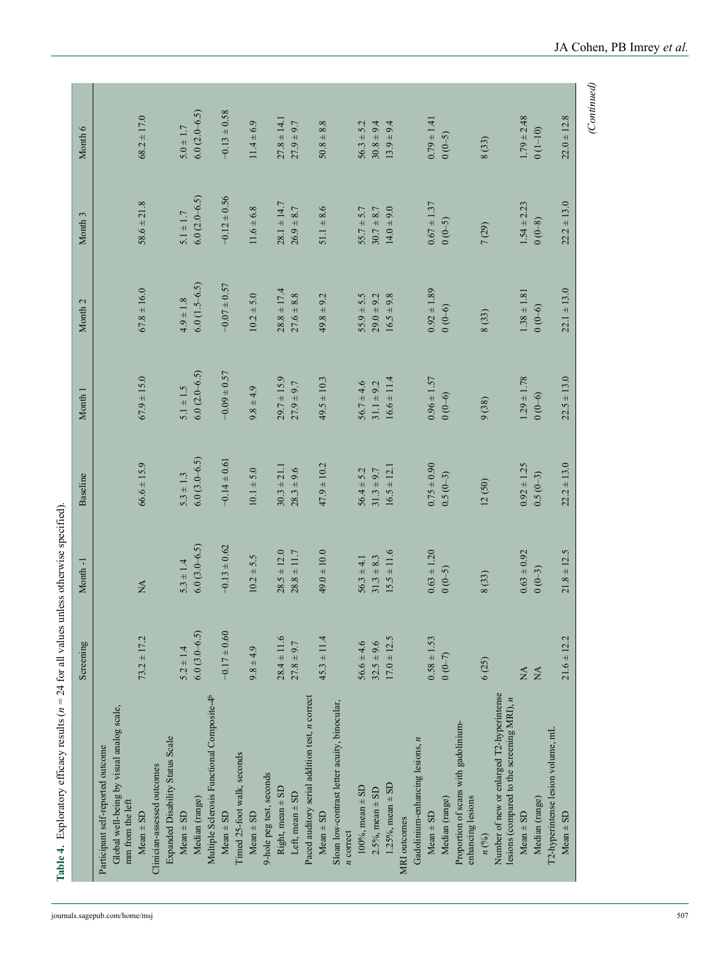| $\stackrel{\Delta}{\approx}$ | $66.6 \pm 15.9$                          | $67.9 \pm 15.0$                                 | $67.8 \pm 16.0$                                                                     | $58.6 \pm 21.8$                                                                                                                      | $68.2 \pm 17.0$                                                                                                         |
|------------------------------|------------------------------------------|-------------------------------------------------|-------------------------------------------------------------------------------------|--------------------------------------------------------------------------------------------------------------------------------------|-------------------------------------------------------------------------------------------------------------------------|
|                              |                                          |                                                 |                                                                                     |                                                                                                                                      |                                                                                                                         |
|                              |                                          |                                                 |                                                                                     |                                                                                                                                      |                                                                                                                         |
| $5.3 \pm 1.4$                | $5.3 \pm 1.3$                            | $5.1 \pm 1.5$                                   | $4.9 \pm 1.8$                                                                       | $5.1 \pm 1.7$                                                                                                                        | $5.0 \pm 1.7$                                                                                                           |
| $6.0(3.0-6.5)$               | $6.0(3.0-6.5)$                           | $6.0(2.0-6.5)$                                  | $6.0(1.5-6.5)$                                                                      | $6.0(2.0-6.5)$                                                                                                                       | $6.0(2.0-6.5)$                                                                                                          |
|                              |                                          |                                                 |                                                                                     |                                                                                                                                      |                                                                                                                         |
| $-0.13 \pm 0.62$             | $-0.14 \pm 0.61$                         | $-0.09 \pm 0.57$                                |                                                                                     | $-0.12 \pm 0.56$                                                                                                                     | $-0.13 \pm 0.58$                                                                                                        |
|                              |                                          |                                                 |                                                                                     |                                                                                                                                      |                                                                                                                         |
| $10.2 \pm 5.5$               | $10.1 \pm 5.0$                           | $9.8 \pm 4.9$                                   | $10.2 \pm 5.0$                                                                      |                                                                                                                                      | $11.4 \pm 6.9$                                                                                                          |
|                              |                                          |                                                 |                                                                                     |                                                                                                                                      |                                                                                                                         |
| $28.5 \pm 12.0$              | $30.3 \pm 21.1$                          |                                                 |                                                                                     | $28.1 \pm 14.7$                                                                                                                      | $27.8 \pm 14.1$                                                                                                         |
| $28.8 \pm 11.7$              | $28.3 \pm 9.6$                           | $27.9 \pm 9.7$                                  | $27.6 \pm 8.8$                                                                      | $26.9 + 8.7$                                                                                                                         | $27.9 \pm 9.7$                                                                                                          |
|                              |                                          |                                                 |                                                                                     |                                                                                                                                      |                                                                                                                         |
| $49.0 \pm 10.0$              | $47.9 \pm 10.2$                          | $49.5 \pm 10.3$                                 | $49.8 \pm 9.2$                                                                      | $51.1 \pm 8.6$                                                                                                                       | $50.8 \pm 8.8$                                                                                                          |
|                              |                                          |                                                 |                                                                                     |                                                                                                                                      |                                                                                                                         |
|                              |                                          |                                                 |                                                                                     |                                                                                                                                      |                                                                                                                         |
| $56.3 \pm 4.1$               |                                          |                                                 |                                                                                     |                                                                                                                                      | $56.3 \pm 5.2$                                                                                                          |
| $31.3 \pm 8.3$               | $31.3 \pm 9.7$                           | $31.1 \pm 9.2$                                  |                                                                                     | $30.7 + 8.7$                                                                                                                         | $30.8 \pm 9.4$                                                                                                          |
| $15.5 \pm 11.6$              | $16.5 \pm 12.1$                          | $16.6 \pm 11.4$                                 |                                                                                     |                                                                                                                                      | $13.9 \pm 9.4$                                                                                                          |
|                              |                                          |                                                 |                                                                                     |                                                                                                                                      |                                                                                                                         |
|                              |                                          |                                                 |                                                                                     |                                                                                                                                      |                                                                                                                         |
| $0.63 \pm 1.20$              | $0.75 \pm 0.90$                          |                                                 | $0.92 \pm 1.89$                                                                     |                                                                                                                                      | $0.79 \pm 1.41$                                                                                                         |
|                              | $0.5(0-3)$                               | $0(0-6)$                                        |                                                                                     |                                                                                                                                      | $(0 - 5)$                                                                                                               |
|                              |                                          |                                                 |                                                                                     |                                                                                                                                      |                                                                                                                         |
|                              |                                          |                                                 |                                                                                     |                                                                                                                                      |                                                                                                                         |
| 8(33)                        | 12(50)                                   | 9(38)                                           | 8(33)                                                                               |                                                                                                                                      | 8(33)                                                                                                                   |
|                              |                                          |                                                 |                                                                                     |                                                                                                                                      |                                                                                                                         |
|                              |                                          |                                                 |                                                                                     |                                                                                                                                      | $1.79 \pm 2.48$                                                                                                         |
|                              |                                          |                                                 |                                                                                     |                                                                                                                                      | $(1 - 10)$                                                                                                              |
|                              |                                          |                                                 |                                                                                     |                                                                                                                                      |                                                                                                                         |
| $21.8 \pm 12.5$              | $22.2 \pm 13.0$                          | $22.5 \pm 13.0$                                 | $22.1 \pm 13.0$                                                                     | $22.2 \pm 13.0$                                                                                                                      | $22.0 \pm 12.8$                                                                                                         |
|                              | $0.63 \pm 0.92$<br>$(0 - 5)$<br>$0(0-3)$ | $0.92 \pm 1.25$<br>$56.4 \pm 5.2$<br>$0.5(0-3)$ | $29.7 \pm 15.9$<br>$1.29 \pm 1.78$<br>$0.96 \pm 1.57$<br>$56.7 \pm 4.6$<br>$0(0-6)$ | $-0.07 \pm 0.57$<br>$28.8 \pm 17.4$<br>$1.38 \pm 1.81$<br>$16.5 \pm 9.8$<br>$55.9 \pm 5.5$<br>29.0 $\pm$ 9.2<br>$0(0-6)$<br>$0(0-6)$ | $0.67 \pm 1.37$<br>$1.54 \pm 2.23$<br>$14.0 \pm 9.0$<br>$11.6 \pm 6.8$<br>$55.7 \pm 5.7$<br>$(0-8)$<br>$(0-5)$<br>7(29) |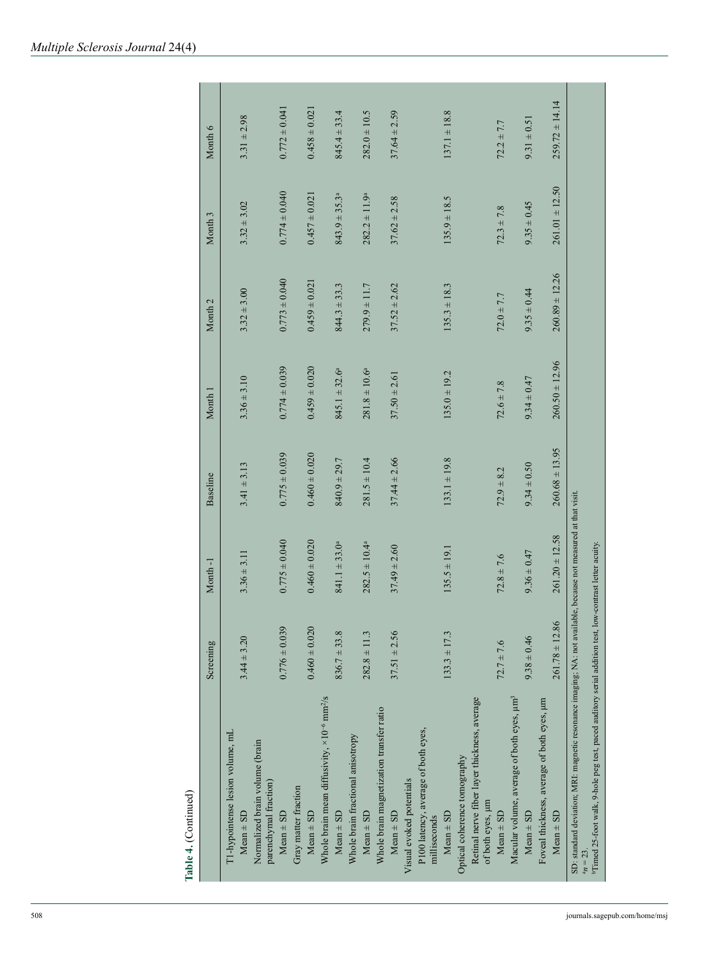| Month 1            | Month <sub>2</sub>                                        | Month 3                                                   | Month 6                                                                        |
|--------------------|-----------------------------------------------------------|-----------------------------------------------------------|--------------------------------------------------------------------------------|
|                    |                                                           |                                                           | $3.31 \pm 2.98$                                                                |
|                    |                                                           |                                                           |                                                                                |
| $0.774 \pm 0.039$  | $0.773 \pm 0.040$                                         |                                                           | $0.772 \pm 0.041$                                                              |
|                    |                                                           |                                                           |                                                                                |
| $0.459 \pm 0.020$  | $0.459 \pm 0.021$                                         | $0.457 \pm 0.021$                                         | $0.458 \pm 0.021$                                                              |
|                    |                                                           |                                                           |                                                                                |
| $845.1 \pm 32.6^a$ | $844.3 \pm 33.3$                                          | $843.9 \pm 35.3^a$                                        | $845.4 \pm 33.4$                                                               |
|                    |                                                           |                                                           |                                                                                |
| $281.8 \pm 10.6^a$ | $279.9 \pm 11.7$                                          | $282.2 \pm 11.9^a$                                        | $282.0 \pm 10.5$                                                               |
|                    |                                                           |                                                           |                                                                                |
|                    |                                                           |                                                           | $37.64 \pm 2.59$                                                               |
|                    |                                                           |                                                           |                                                                                |
|                    |                                                           |                                                           |                                                                                |
| $135.0 \pm 19.2$   | $135.3 \pm 18.3$                                          | $135.9 \pm 18.5$                                          | $137.1 \pm 18.8$                                                               |
|                    |                                                           |                                                           |                                                                                |
|                    |                                                           |                                                           |                                                                                |
| $72.6 \pm 7.8$     | $72.0 \pm 7.7$                                            | $72.3 \pm 7.8$                                            | $72.2 \pm 7.7$                                                                 |
|                    |                                                           |                                                           |                                                                                |
| $9.34 \pm 0.47$    | $9.35 \pm 0.44$                                           | $9.35 \pm 0.45$                                           | $9.31 \pm 0.51$                                                                |
|                    |                                                           |                                                           |                                                                                |
|                    |                                                           |                                                           | $259.72 \pm 14.14$                                                             |
|                    | $260.50 \pm 12.96$<br>$37.50 \pm 2.61$<br>$3.36 \pm 3.10$ | $260.89 \pm 12.26$<br>$37.52 \pm 2.62$<br>$3.32 \pm 3.00$ | $261.01 \pm 12.50$<br>$0.774 \pm 0.040$<br>$37.62 \pm 2.58$<br>$3.32 \pm 3.02$ |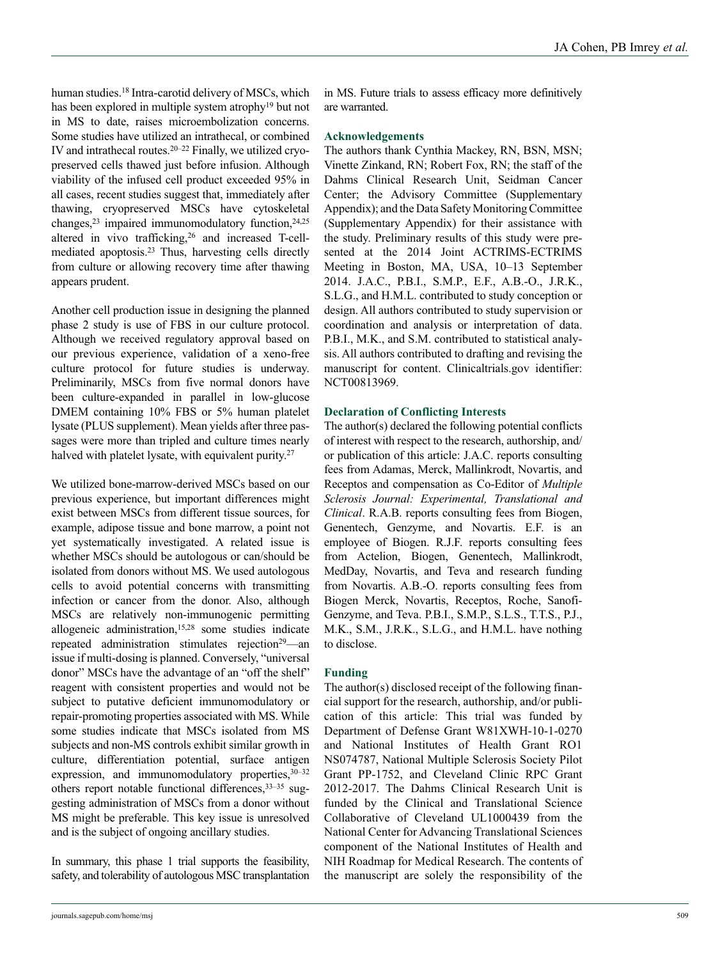human studies.18 Intra-carotid delivery of MSCs, which has been explored in multiple system atrophy19 but not in MS to date, raises microembolization concerns. Some studies have utilized an intrathecal, or combined IV and intrathecal routes.20–22 Finally, we utilized cryopreserved cells thawed just before infusion. Although viability of the infused cell product exceeded 95% in all cases, recent studies suggest that, immediately after thawing, cryopreserved MSCs have cytoskeletal changes,23 impaired immunomodulatory function,24,25 altered in vivo trafficking,26 and increased T-cellmediated apoptosis.23 Thus, harvesting cells directly from culture or allowing recovery time after thawing appears prudent.

Another cell production issue in designing the planned phase 2 study is use of FBS in our culture protocol. Although we received regulatory approval based on our previous experience, validation of a xeno-free culture protocol for future studies is underway. Preliminarily, MSCs from five normal donors have been culture-expanded in parallel in low-glucose DMEM containing 10% FBS or 5% human platelet lysate (PLUS supplement). Mean yields after three passages were more than tripled and culture times nearly halved with platelet lysate, with equivalent purity.<sup>27</sup>

We utilized bone-marrow-derived MSCs based on our previous experience, but important differences might exist between MSCs from different tissue sources, for example, adipose tissue and bone marrow, a point not yet systematically investigated. A related issue is whether MSCs should be autologous or can/should be isolated from donors without MS. We used autologous cells to avoid potential concerns with transmitting infection or cancer from the donor. Also, although MSCs are relatively non-immunogenic permitting allogeneic administration,15,28 some studies indicate repeated administration stimulates rejection<sup>29</sup>—an issue if multi-dosing is planned. Conversely, "universal donor" MSCs have the advantage of an "off the shelf" reagent with consistent properties and would not be subject to putative deficient immunomodulatory or repair-promoting properties associated with MS. While some studies indicate that MSCs isolated from MS subjects and non-MS controls exhibit similar growth in culture, differentiation potential, surface antigen expression, and immunomodulatory properties,  $30-32$ others report notable functional differences,33–35 suggesting administration of MSCs from a donor without MS might be preferable. This key issue is unresolved and is the subject of ongoing ancillary studies.

In summary, this phase 1 trial supports the feasibility, safety, and tolerability of autologous MSC transplantation

# **Acknowledgements**

The authors thank Cynthia Mackey, RN, BSN, MSN; Vinette Zinkand, RN; Robert Fox, RN; the staff of the Dahms Clinical Research Unit, Seidman Cancer Center; the Advisory Committee (Supplementary Appendix); and the Data Safety Monitoring Committee (Supplementary Appendix) for their assistance with the study. Preliminary results of this study were presented at the 2014 Joint ACTRIMS-ECTRIMS Meeting in Boston, MA, USA, 10–13 September 2014. J.A.C., P.B.I., S.M.P., E.F., A.B.-O., J.R.K., S.L.G., and H.M.L. contributed to study conception or design. All authors contributed to study supervision or coordination and analysis or interpretation of data. P.B.I., M.K., and S.M. contributed to statistical analysis. All authors contributed to drafting and revising the manuscript for content. Clinicaltrials.gov identifier: NCT00813969.

# **Declaration of Conflicting Interests**

The author(s) declared the following potential conflicts of interest with respect to the research, authorship, and/ or publication of this article: J.A.C. reports consulting fees from Adamas, Merck, Mallinkrodt, Novartis, and Receptos and compensation as Co-Editor of *Multiple Sclerosis Journal: Experimental, Translational and Clinical*. R.A.B. reports consulting fees from Biogen, Genentech, Genzyme, and Novartis. E.F. is an employee of Biogen. R.J.F. reports consulting fees from Actelion, Biogen, Genentech, Mallinkrodt, MedDay, Novartis, and Teva and research funding from Novartis. A.B.-O. reports consulting fees from Biogen Merck, Novartis, Receptos, Roche, Sanofi-Genzyme, and Teva. P.B.I., S.M.P., S.L.S., T.T.S., P.J., M.K., S.M., J.R.K., S.L.G., and H.M.L. have nothing to disclose.

# **Funding**

The author(s) disclosed receipt of the following financial support for the research, authorship, and/or publication of this article: This trial was funded by Department of Defense Grant W81XWH-10-1-0270 and National Institutes of Health Grant RO1 NS074787, National Multiple Sclerosis Society Pilot Grant PP-1752, and Cleveland Clinic RPC Grant 2012-2017. The Dahms Clinical Research Unit is funded by the Clinical and Translational Science Collaborative of Cleveland UL1000439 from the National Center for Advancing Translational Sciences component of the National Institutes of Health and NIH Roadmap for Medical Research. The contents of the manuscript are solely the responsibility of the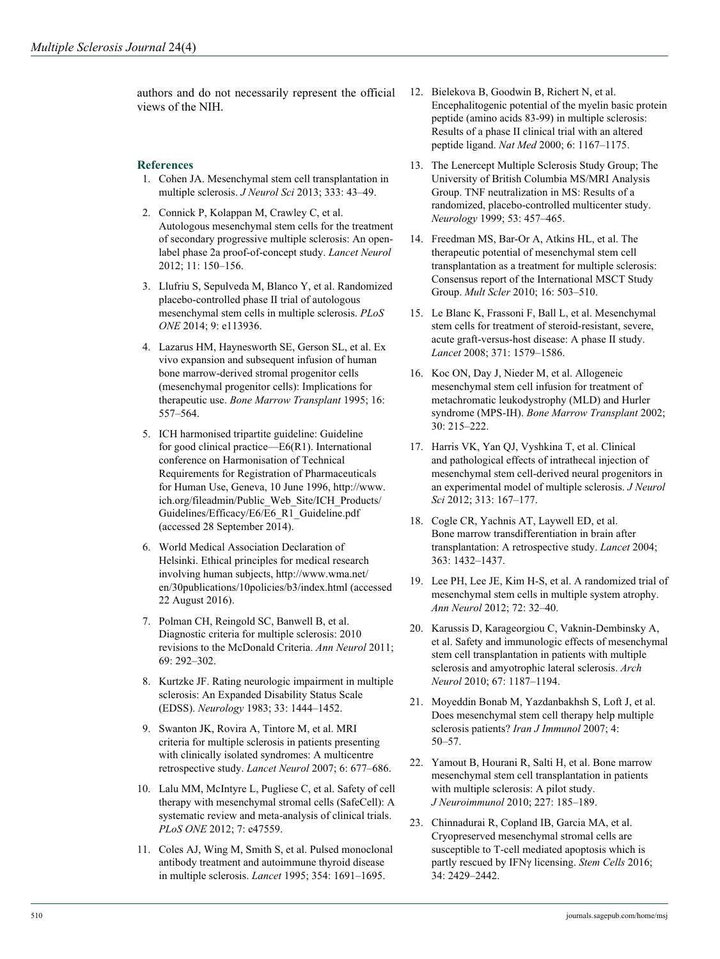authors and do not necessarily represent the official views of the NIH.

## **References**

- 1. Cohen JA. Mesenchymal stem cell transplantation in multiple sclerosis. *J Neurol Sci* 2013; 333: 43–49.
- 2. Connick P, Kolappan M, Crawley C, et al. Autologous mesenchymal stem cells for the treatment of secondary progressive multiple sclerosis: An openlabel phase 2a proof-of-concept study. *Lancet Neurol* 2012; 11: 150–156.
- 3. Llufriu S, Sepulveda M, Blanco Y, et al. Randomized placebo-controlled phase II trial of autologous mesenchymal stem cells in multiple sclerosis. *PLoS ONE* 2014; 9: e113936.
- 4. Lazarus HM, Haynesworth SE, Gerson SL, et al. Ex vivo expansion and subsequent infusion of human bone marrow-derived stromal progenitor cells (mesenchymal progenitor cells): Implications for therapeutic use. *Bone Marrow Transplant* 1995; 16: 557–564.
- 5. ICH harmonised tripartite guideline: Guideline for good clinical practice—E6(R1). International conference on Harmonisation of Technical Requirements for Registration of Pharmaceuticals for Human Use, Geneva, 10 June 1996, [http://www.](http://www.ich.org/fileadmin/Public_Web_Site/ICH_Products/Guidelines/Efficacy/E6/E6_R1_Guideline.pdf) [ich.org/fileadmin/Public\\_Web\\_Site/ICH\\_Products/](http://www.ich.org/fileadmin/Public_Web_Site/ICH_Products/Guidelines/Efficacy/E6/E6_R1_Guideline.pdf) [Guidelines/Efficacy/E6/E6\\_R1\\_Guideline.pdf](http://www.ich.org/fileadmin/Public_Web_Site/ICH_Products/Guidelines/Efficacy/E6/E6_R1_Guideline.pdf)  (accessed 28 September 2014).
- 6. World Medical Association Declaration of Helsinki. Ethical principles for medical research involving human subjects, [http://www.wma.net/](http://www.wma.net/en/30publications/10policies/b3/index.html) [en/30publications/10policies/b3/index.html](http://www.wma.net/en/30publications/10policies/b3/index.html) (accessed 22 August 2016).
- 7. Polman CH, Reingold SC, Banwell B, et al. Diagnostic criteria for multiple sclerosis: 2010 revisions to the McDonald Criteria. *Ann Neurol* 2011; 69: 292–302.
- 8. Kurtzke JF. Rating neurologic impairment in multiple sclerosis: An Expanded Disability Status Scale (EDSS). *Neurology* 1983; 33: 1444–1452.
- 9. Swanton JK, Rovira A, Tintore M, et al. MRI criteria for multiple sclerosis in patients presenting with clinically isolated syndromes: A multicentre retrospective study. *Lancet Neurol* 2007; 6: 677–686.
- 10. Lalu MM, McIntyre L, Pugliese C, et al. Safety of cell therapy with mesenchymal stromal cells (SafeCell): A systematic review and meta-analysis of clinical trials. *PLoS ONE* 2012; 7: e47559.
- 11. Coles AJ, Wing M, Smith S, et al. Pulsed monoclonal antibody treatment and autoimmune thyroid disease in multiple sclerosis. *Lancet* 1995; 354: 1691–1695.
- 12. Bielekova B, Goodwin B, Richert N, et al. Encephalitogenic potential of the myelin basic protein peptide (amino acids 83-99) in multiple sclerosis: Results of a phase II clinical trial with an altered peptide ligand. *Nat Med* 2000; 6: 1167–1175.
- 13. The Lenercept Multiple Sclerosis Study Group; The University of British Columbia MS/MRI Analysis Group. TNF neutralization in MS: Results of a randomized, placebo-controlled multicenter study. *Neurology* 1999; 53: 457–465.
- 14. Freedman MS, Bar-Or A, Atkins HL, et al. The therapeutic potential of mesenchymal stem cell transplantation as a treatment for multiple sclerosis: Consensus report of the International MSCT Study Group. *Mult Scler* 2010; 16: 503–510.
- 15. Le Blanc K, Frassoni F, Ball L, et al. Mesenchymal stem cells for treatment of steroid-resistant, severe, acute graft-versus-host disease: A phase II study. *Lancet* 2008; 371: 1579–1586.
- 16. Koc ON, Day J, Nieder M, et al. Allogeneic mesenchymal stem cell infusion for treatment of metachromatic leukodystrophy (MLD) and Hurler syndrome (MPS-IH). *Bone Marrow Transplant* 2002; 30: 215–222.
- 17. Harris VK, Yan QJ, Vyshkina T, et al. Clinical and pathological effects of intrathecal injection of mesenchymal stem cell-derived neural progenitors in an experimental model of multiple sclerosis. *J Neurol Sci* 2012; 313: 167–177.
- 18. Cogle CR, Yachnis AT, Laywell ED, et al. Bone marrow transdifferentiation in brain after transplantation: A retrospective study. *Lancet* 2004; 363: 1432–1437.
- 19. Lee PH, Lee JE, Kim H-S, et al. A randomized trial of mesenchymal stem cells in multiple system atrophy. *Ann Neurol* 2012; 72: 32–40.
- 20. Karussis D, Karageorgiou C, Vaknin-Dembinsky A, et al. Safety and immunologic effects of mesenchymal stem cell transplantation in patients with multiple sclerosis and amyotrophic lateral sclerosis. *Arch Neurol* 2010; 67: 1187–1194.
- 21. Moyeddin Bonab M, Yazdanbakhsh S, Loft J, et al. Does mesenchymal stem cell therapy help multiple sclerosis patients? *Iran J Immunol* 2007; 4: 50–57.
- 22. Yamout B, Hourani R, Salti H, et al. Bone marrow mesenchymal stem cell transplantation in patients with multiple sclerosis: A pilot study. *J Neuroimmunol* 2010; 227: 185–189.
- 23. Chinnadurai R, Copland IB, Garcia MA, et al. Cryopreserved mesenchymal stromal cells are susceptible to T-cell mediated apoptosis which is partly rescued by IFNγ licensing. *Stem Cells* 2016; 34: 2429–2442.